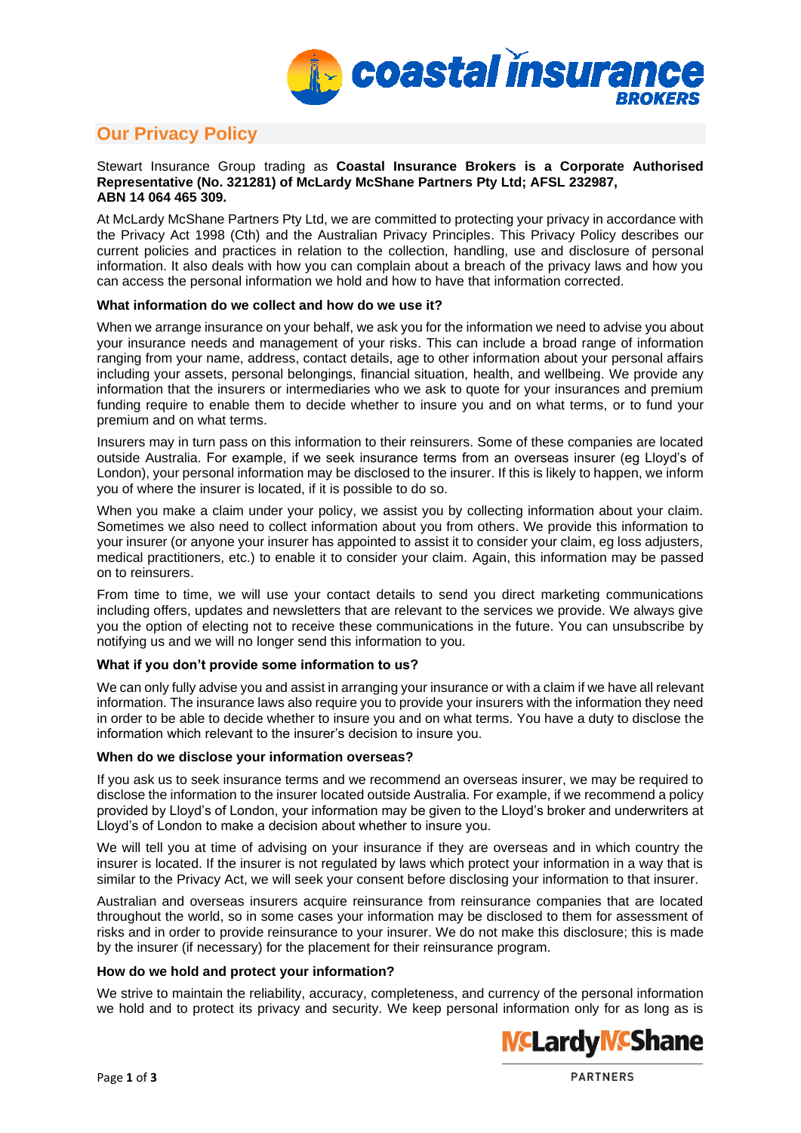

# **Our Privacy Policy**

#### Stewart Insurance Group trading as **Coastal Insurance Brokers is a Corporate Authorised Representative (No. 321281) of McLardy McShane Partners Pty Ltd; AFSL 232987, ABN 14 064 465 309.**

At McLardy McShane Partners Pty Ltd, we are committed to protecting your privacy in accordance with the Privacy Act 1998 (Cth) and the Australian Privacy Principles. This Privacy Policy describes our current policies and practices in relation to the collection, handling, use and disclosure of personal information. It also deals with how you can complain about a breach of the privacy laws and how you can access the personal information we hold and how to have that information corrected.

## **What information do we collect and how do we use it?**

When we arrange insurance on your behalf, we ask you for the information we need to advise you about your insurance needs and management of your risks. This can include a broad range of information ranging from your name, address, contact details, age to other information about your personal affairs including your assets, personal belongings, financial situation, health, and wellbeing. We provide any information that the insurers or intermediaries who we ask to quote for your insurances and premium funding require to enable them to decide whether to insure you and on what terms, or to fund your premium and on what terms.

Insurers may in turn pass on this information to their reinsurers. Some of these companies are located outside Australia. For example, if we seek insurance terms from an overseas insurer (eg Lloyd's of London), your personal information may be disclosed to the insurer. If this is likely to happen, we inform you of where the insurer is located, if it is possible to do so.

When you make a claim under your policy, we assist you by collecting information about your claim. Sometimes we also need to collect information about you from others. We provide this information to your insurer (or anyone your insurer has appointed to assist it to consider your claim, eg loss adjusters, medical practitioners, etc.) to enable it to consider your claim. Again, this information may be passed on to reinsurers.

From time to time, we will use your contact details to send you direct marketing communications including offers, updates and newsletters that are relevant to the services we provide. We always give you the option of electing not to receive these communications in the future. You can unsubscribe by notifying us and we will no longer send this information to you.

# **What if you don't provide some information to us?**

We can only fully advise you and assist in arranging your insurance or with a claim if we have all relevant information. The insurance laws also require you to provide your insurers with the information they need in order to be able to decide whether to insure you and on what terms. You have a duty to disclose the information which relevant to the insurer's decision to insure you.

## **When do we disclose your information overseas?**

If you ask us to seek insurance terms and we recommend an overseas insurer, we may be required to disclose the information to the insurer located outside Australia. For example, if we recommend a policy provided by Lloyd's of London, your information may be given to the Lloyd's broker and underwriters at Lloyd's of London to make a decision about whether to insure you.

We will tell you at time of advising on your insurance if they are overseas and in which country the insurer is located. If the insurer is not regulated by laws which protect your information in a way that is similar to the Privacy Act, we will seek your consent before disclosing your information to that insurer.

Australian and overseas insurers acquire reinsurance from reinsurance companies that are located throughout the world, so in some cases your information may be disclosed to them for assessment of risks and in order to provide reinsurance to your insurer. We do not make this disclosure; this is made by the insurer (if necessary) for the placement for their reinsurance program.

## **How do we hold and protect your information?**

We strive to maintain the reliability, accuracy, completeness, and currency of the personal information we hold and to protect its privacy and security. We keep personal information only for as long as is

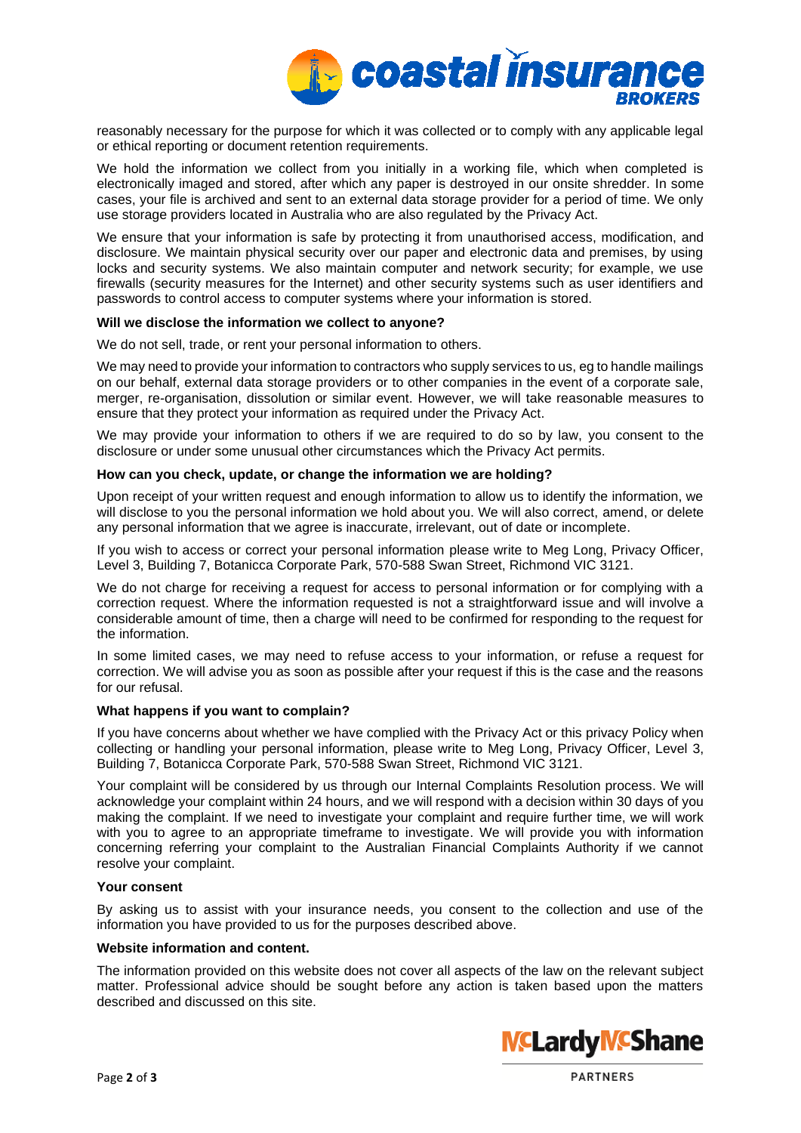

reasonably necessary for the purpose for which it was collected or to comply with any applicable legal or ethical reporting or document retention requirements.

We hold the information we collect from you initially in a working file, which when completed is electronically imaged and stored, after which any paper is destroyed in our onsite shredder. In some cases, your file is archived and sent to an external data storage provider for a period of time. We only use storage providers located in Australia who are also regulated by the Privacy Act.

We ensure that your information is safe by protecting it from unauthorised access, modification, and disclosure. We maintain physical security over our paper and electronic data and premises, by using locks and security systems. We also maintain computer and network security; for example, we use firewalls (security measures for the Internet) and other security systems such as user identifiers and passwords to control access to computer systems where your information is stored.

## **Will we disclose the information we collect to anyone?**

We do not sell, trade, or rent your personal information to others.

We may need to provide your information to contractors who supply services to us, eg to handle mailings on our behalf, external data storage providers or to other companies in the event of a corporate sale, merger, re-organisation, dissolution or similar event. However, we will take reasonable measures to ensure that they protect your information as required under the Privacy Act.

We may provide your information to others if we are required to do so by law, you consent to the disclosure or under some unusual other circumstances which the Privacy Act permits.

## **How can you check, update, or change the information we are holding?**

Upon receipt of your written request and enough information to allow us to identify the information, we will disclose to you the personal information we hold about you. We will also correct, amend, or delete any personal information that we agree is inaccurate, irrelevant, out of date or incomplete.

If you wish to access or correct your personal information please write to Meg Long, Privacy Officer, Level 3, Building 7, Botanicca Corporate Park, 570-588 Swan Street, Richmond VIC 3121.

We do not charge for receiving a request for access to personal information or for complying with a correction request. Where the information requested is not a straightforward issue and will involve a considerable amount of time, then a charge will need to be confirmed for responding to the request for the information.

In some limited cases, we may need to refuse access to your information, or refuse a request for correction. We will advise you as soon as possible after your request if this is the case and the reasons for our refusal.

#### **What happens if you want to complain?**

If you have concerns about whether we have complied with the Privacy Act or this privacy Policy when collecting or handling your personal information, please write to Meg Long, Privacy Officer, Level 3, Building 7, Botanicca Corporate Park, 570-588 Swan Street, Richmond VIC 3121.

Your complaint will be considered by us through our Internal Complaints Resolution process. We will acknowledge your complaint within 24 hours, and we will respond with a decision within 30 days of you making the complaint. If we need to investigate your complaint and require further time, we will work with you to agree to an appropriate timeframe to investigate. We will provide you with information concerning referring your complaint to the Australian Financial Complaints Authority if we cannot resolve your complaint.

#### **Your consent**

By asking us to assist with your insurance needs, you consent to the collection and use of the information you have provided to us for the purposes described above.

# **Website information and content.**

The information provided on this website does not cover all aspects of the law on the relevant subject matter. Professional advice should be sought before any action is taken based upon the matters described and discussed on this site.



**PARTNERS**